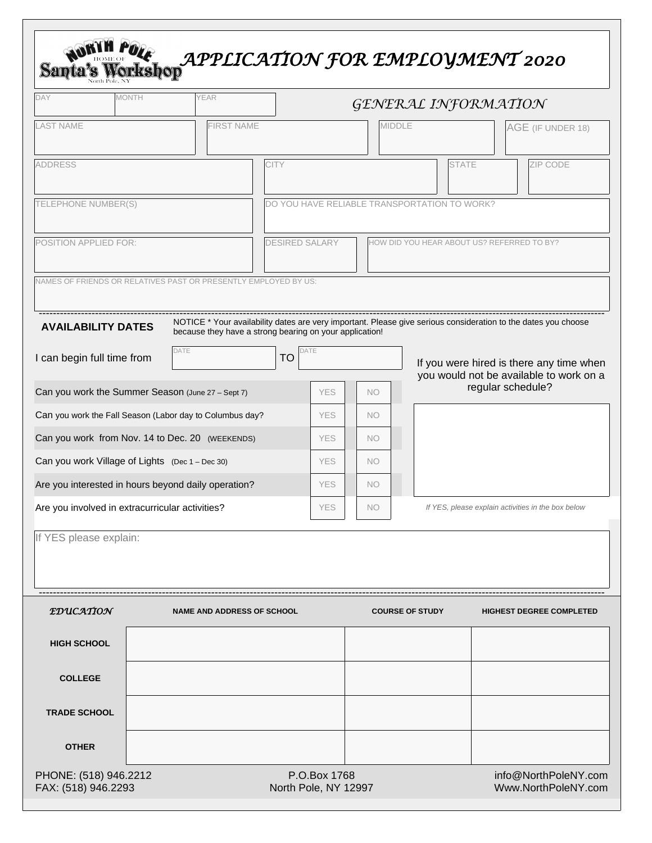| DAY                                             | <b>MONTH</b>                                    | <b>YEAR</b>                                                     |                       |                                              |                        | GENERAL INFORMATION                        |                                                                                                                |  |  |
|-------------------------------------------------|-------------------------------------------------|-----------------------------------------------------------------|-----------------------|----------------------------------------------|------------------------|--------------------------------------------|----------------------------------------------------------------------------------------------------------------|--|--|
| <b>LAST NAME</b>                                |                                                 | <b>FIRST NAME</b>                                               |                       |                                              | <b>MIDDLE</b>          |                                            | AGE (IF UNDER 18)                                                                                              |  |  |
| <b>ADDRESS</b>                                  |                                                 |                                                                 | <b>CITY</b>           |                                              |                        | <b>STATE</b>                               | ZIP CODE                                                                                                       |  |  |
|                                                 | TELEPHONE NUMBER(S)                             |                                                                 |                       | DO YOU HAVE RELIABLE TRANSPORTATION TO WORK? |                        |                                            |                                                                                                                |  |  |
| <b>POSITION APPLIED FOR:</b>                    |                                                 |                                                                 | <b>DESIRED SALARY</b> |                                              |                        | HOW DID YOU HEAR ABOUT US? REFERRED TO BY? |                                                                                                                |  |  |
|                                                 |                                                 | NAMES OF FRIENDS OR RELATIVES PAST OR PRESENTLY EMPLOYED BY US: |                       |                                              |                        |                                            |                                                                                                                |  |  |
|                                                 | <b>AVAILABILITY DATES</b>                       | because they have a strong bearing on your application!         |                       |                                              |                        |                                            | NOTICE * Your availability dates are very important. Please give serious consideration to the dates you choose |  |  |
|                                                 | I can begin full time from                      | DATE                                                            | <b>TO</b>             | DATE                                         |                        |                                            | If you were hired is there any time when<br>you would not be available to work on a                            |  |  |
|                                                 |                                                 | Can you work the Summer Season (June 27 - Sept 7)               |                       | <b>YES</b>                                   | <b>NO</b>              |                                            | regular schedule?                                                                                              |  |  |
|                                                 |                                                 | Can you work the Fall Season (Labor day to Columbus day?        |                       | <b>YES</b>                                   | <b>NO</b>              |                                            |                                                                                                                |  |  |
|                                                 |                                                 | Can you work from Nov. 14 to Dec. 20 (WEEKENDS)                 |                       | <b>YES</b>                                   | <b>NO</b>              |                                            |                                                                                                                |  |  |
|                                                 | Can you work Village of Lights (Dec 1 - Dec 30) |                                                                 |                       | <b>YES</b>                                   | <b>NO</b>              |                                            |                                                                                                                |  |  |
|                                                 |                                                 | Are you interested in hours beyond daily operation?             |                       | <b>YES</b>                                   | <b>NO</b>              |                                            |                                                                                                                |  |  |
| Are you involved in extracurricular activities? |                                                 |                                                                 |                       | YES                                          | <b>NO</b>              |                                            | If YES, please explain activities in the box below                                                             |  |  |
|                                                 | If YES please explain:                          |                                                                 |                       |                                              |                        |                                            |                                                                                                                |  |  |
|                                                 |                                                 |                                                                 |                       |                                              |                        |                                            |                                                                                                                |  |  |
|                                                 |                                                 |                                                                 |                       |                                              |                        |                                            |                                                                                                                |  |  |
| <i><b>TDUCATION</b></i>                         |                                                 | <b>NAME AND ADDRESS OF SCHOOL</b>                               |                       |                                              | <b>COURSE OF STUDY</b> |                                            | <b>HIGHEST DEGREE COMPLETED</b>                                                                                |  |  |
| <b>HIGH SCHOOL</b>                              |                                                 |                                                                 |                       |                                              |                        |                                            |                                                                                                                |  |  |
| <b>COLLEGE</b>                                  |                                                 |                                                                 |                       |                                              |                        |                                            |                                                                                                                |  |  |
| <b>TRADE SCHOOL</b>                             |                                                 |                                                                 |                       |                                              |                        |                                            |                                                                                                                |  |  |

| PHONE: (518) 946.2212 | P.O.Box 1768         |  |
|-----------------------|----------------------|--|
|                       |                      |  |
| FAX: (518) 946.2293   | North Pole, NY 12997 |  |
|                       |                      |  |

info@NorthPoleNY.com Www.NorthPoleNY.com